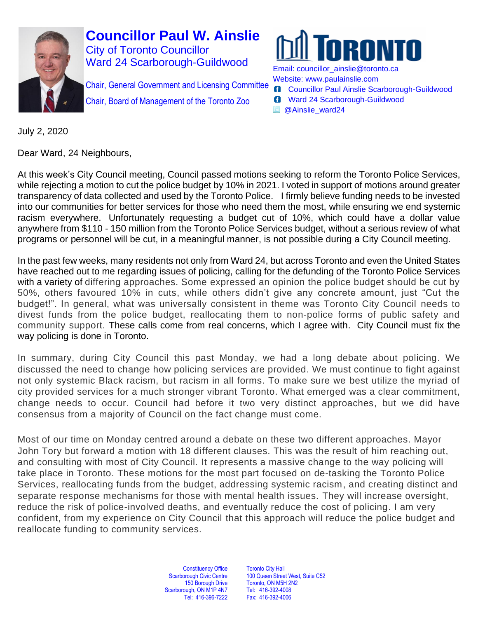

Chair, General Government and Licensing Committee Chair, Board of Management of the Toronto Zoo



Email: [councillor\\_ainslie@toronto.ca](mailto:councillor_ainslie@toronto.ca) Website: [www.paulainslie.com](http://www.paulainslie.com/)

- **G** Councillor Paul Ainslie Scarborough-Guildwood
- **6** Ward 24 Scarborough-Guildwood
- **E** @Ainslie\_ward24

July 2, 2020

Dear Ward, 24 Neighbours,

At this week's City Council meeting, Council passed motions seeking to reform the Toronto Police Services, while rejecting a motion to cut the police budget by 10% in 2021. I voted in support of motions around greater transparency of data collected and used by the Toronto Police. I firmly believe funding needs to be invested into our communities for better services for those who need them the most, while ensuring we end systemic racism everywhere. Unfortunately requesting a budget cut of 10%, which could have a dollar value anywhere from \$110 - 150 million from the Toronto Police Services budget, without a serious review of what programs or personnel will be cut, in a meaningful manner, is not possible during a City Council meeting.

In the past few weeks, many residents not only from Ward 24, but across Toronto and even the United States have reached out to me regarding issues of policing, calling for the defunding of the Toronto Police Services with a variety of differing approaches. Some expressed an opinion the police budget should be cut by 50%, others favoured 10% in cuts, while others didn't give any concrete amount, just "Cut the budget!". In general, what was universally consistent in theme was Toronto City Council needs to divest funds from the police budget, reallocating them to non-police forms of public safety and community support. These calls come from real concerns, which I agree with. City Council must fix the way policing is done in Toronto.

In summary, during City Council this past Monday, we had a long debate about policing. We discussed the need to change how policing services are provided. We must continue to fight against not only systemic Black racism, but racism in all forms. To make sure we best utilize the myriad of city provided services for a much stronger vibrant Toronto. What emerged was a clear commitment, change needs to occur. Council had before it two very distinct approaches, but we did have consensus from a majority of Council on the fact change must come.

Most of our time on Monday centred around a debate on these two different approaches. Mayor John Tory but forward a motion with 18 different clauses. This was the result of him reaching out, and consulting with most of City Council. It represents a massive change to the way policing will take place in Toronto. These motions for the most part focused on de-tasking the Toronto Police Services, reallocating funds from the budget, addressing systemic racism, and creating distinct and separate response mechanisms for those with mental health issues. They will increase oversight, reduce the risk of police-involved deaths, and eventually reduce the cost of policing. I am very confident, from my experience on City Council that this approach will reduce the police budget and reallocate funding to community services.

> Constituency Office Scarborough Civic Centre 150 Borough Drive Scarborough, ON M1P 4N7 Tel: 416-396-7222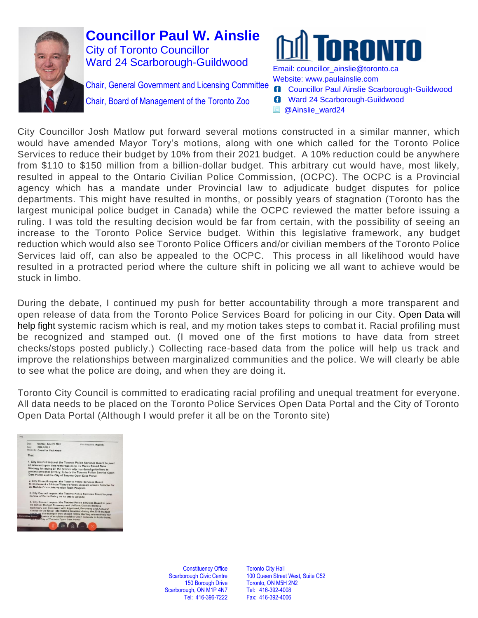

Chair, General Government and Licensing Committee

Chair, Board of Management of the Toronto Zoo



Email: [councillor\\_ainslie@toronto.ca](mailto:councillor_ainslie@toronto.ca) Website: [www.paulainslie.com](http://www.paulainslie.com/)

- **G** Councillor Paul Ainslie Scarborough-Guildwood
- **6** Ward 24 Scarborough-Guildwood
- **B** @Ainslie\_ward24

City Councillor Josh Matlow put forward several motions constructed in a similar manner, which would have amended Mayor Tory's motions, along with one which called for the Toronto Police Services to reduce their budget by 10% from their 2021 budget. A 10% reduction could be anywhere from \$110 to \$150 million from a billion-dollar budget. This arbitrary cut would have, most likely, resulted in appeal to the Ontario Civilian Police Commission, (OCPC). The OCPC is a Provincial agency which has a mandate under Provincial law to adjudicate budget disputes for police departments. This might have resulted in months, or possibly years of stagnation (Toronto has the largest municipal police budget in Canada) while the OCPC reviewed the matter before issuing a ruling. I was told the resulting decision would be far from certain, with the possibility of seeing an increase to the Toronto Police Service budget. Within this legislative framework, any budget reduction which would also see Toronto Police Officers and/or civilian members of the Toronto Police Services laid off, can also be appealed to the OCPC. This process in all likelihood would have resulted in a protracted period where the culture shift in policing we all want to achieve would be stuck in limbo.

During the debate, I continued my push for better accountability through a more transparent and open release of data from the Toronto Police Services Board for policing in our City. Open Data will help fight systemic racism which is real, and my motion takes steps to combat it. Racial profiling must be recognized and stamped out. (I moved one of the first motions to have data from street checks/stops posted publicly.) Collecting race-based data from the police will help us track and improve the relationships between marginalized communities and the police. We will clearly be able to see what the police are doing, and when they are doing it.

Toronto City Council is committed to eradicating racial profiling and unequal treatment for everyone. All data needs to be placed on the Toronto Police Services Open Data Portal and the City of Toronto Open Data Portal (Although I would prefer it all be on the Toronto site)



Constituency Office Scarborough Civic Centre 150 Borough Drive Scarborough, ON M1P 4N7 Tel: 416-396-7222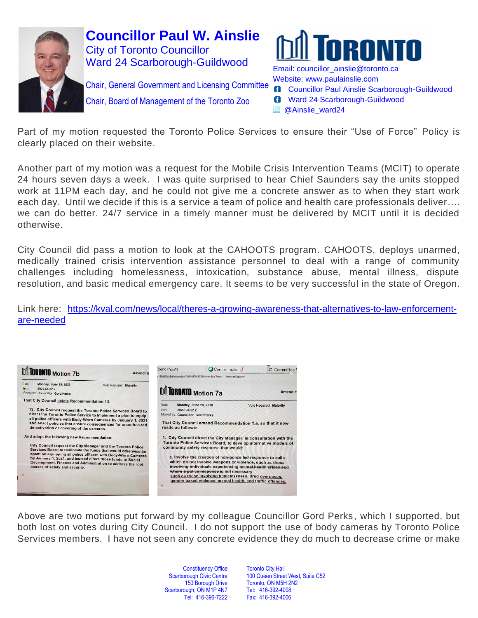



Chair, General Government and Licensing Committee

Chair, Board of Management of the Toronto Zoo

Email: [councillor\\_ainslie@toronto.ca](mailto:councillor_ainslie@toronto.ca) Website: [www.paulainslie.com](http://www.paulainslie.com/)

- **G** Councillor Paul Ainslie Scarborough-Guildwood
- **6** Ward 24 Scarborough-Guildwood
- @Ainslie\_ward24

Part of my motion requested the Toronto Police Services to ensure their "Use of Force" Policy is clearly placed on their website.

Another part of my motion was a request for the Mobile Crisis Intervention Teams (MCIT) to operate 24 hours seven days a week. I was quite surprised to hear Chief Saunders say the units stopped work at 11PM each day, and he could not give me a concrete answer as to when they start work each day. Until we decide if this is a service a team of police and health care professionals deliver…. we can do better. 24/7 service in a timely manner must be delivered by MCIT until it is decided otherwise.

City Council did pass a motion to look at the CAHOOTS program. CAHOOTS, deploys unarmed, medically trained crisis intervention assistance personnel to deal with a range of community challenges including homelessness, intoxication, substance abuse, mental illness, dispute resolution, and basic medical emergency care. It seems to be very successful in the state of Oregon.

Link here: [https://kval.com/news/local/theres-a-growing-awareness-that-alternatives-to-law-enforcement](https://kval.com/news/local/theres-a-growing-awareness-that-alternatives-to-law-enforcement-are-needed)[are-needed](https://kval.com/news/local/theres-a-growing-awareness-that-alternatives-to-law-enforcement-are-needed)



Above are two motions put forward by my colleague Councillor Gord Perks, which I supported, but both lost on votes during City Council. I do not support the use of body cameras by Toronto Police Services members. I have not seen any concrete evidence they do much to decrease crime or make

> **Constituency Office** Scarborough Civic Centre 150 Borough Drive Scarborough, ON M1P 4N7 Tel: 416-396-7222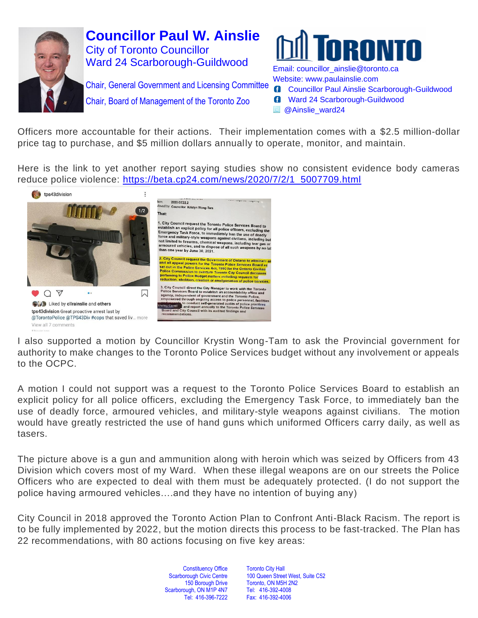



Chair, General Government and Licensing Committee

Chair, Board of Management of the Toronto Zoo

Website: [www.paulainslie.com](http://www.paulainslie.com/) **G** Councillor Paul Ainslie Scarborough-Guildwood

- **6** Ward 24 Scarborough-Guildwood
- @Ainslie\_ward24

Officers more accountable for their actions. Their implementation comes with a \$2.5 million-dollar price tag to purchase, and \$5 million dollars annually to operate, monitor, and maintain.

Here is the link to yet another report saying studies show no consistent evidence body cameras reduce police violence: [https://beta.cp24.com/news/2020/7/2/1\\_5007709.html](https://beta.cp24.com/news/2020/7/2/1_5007709.html)



I also supported a motion by Councillor Krystin Wong-Tam to ask the Provincial government for authority to make changes to the Toronto Police Services budget without any involvement or appeals to the OCPC.

A motion I could not support was a request to the Toronto Police Services Board to establish an explicit policy for all police officers, excluding the Emergency Task Force, to immediately ban the use of deadly force, armoured vehicles, and military-style weapons against civilians. The motion would have greatly restricted the use of hand guns which uniformed Officers carry daily, as well as tasers.

The picture above is a gun and ammunition along with heroin which was seized by Officers from 43 Division which covers most of my Ward. When these illegal weapons are on our streets the Police Officers who are expected to deal with them must be adequately protected. (I do not support the police having armoured vehicles….and they have no intention of buying any)

City Council in 2018 approved the Toronto Action Plan to Confront Anti-Black Racism. The report is to be fully implemented by 2022, but the motion directs this process to be fast-tracked. The Plan has 22 recommendations, with 80 actions focusing on five key areas:

> Constituency Office Scarborough Civic Centre 150 Borough Drive Scarborough, ON M1P 4N7 Tel: 416-396-7222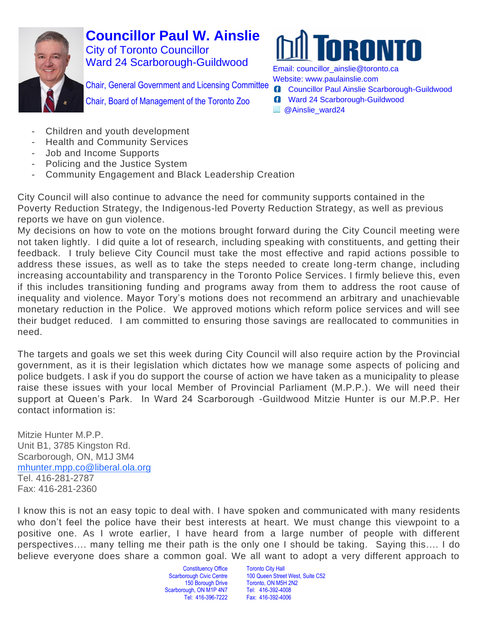

IRNN

Chair, General Government and Licensing Committee

Chair, Board of Management of the Toronto Zoo

Email: [councillor\\_ainslie@toronto.ca](mailto:councillor_ainslie@toronto.ca) Website: [www.paulainslie.com](http://www.paulainslie.com/)

- **G** Councillor Paul Ainslie Scarborough-Guildwood
- **6** Ward 24 Scarborough-Guildwood
- @Ainslie\_ward24

- Children and youth development
- **Health and Community Services**
- Job and Income Supports
- Policing and the Justice System
- Community Engagement and Black Leadership Creation

City Council will also continue to advance the need for community supports contained in the Poverty Reduction Strategy, the Indigenous-led Poverty Reduction Strategy, as well as previous reports we have on gun violence.

My decisions on how to vote on the motions brought forward during the City Council meeting were not taken lightly. I did quite a lot of research, including speaking with constituents, and getting their feedback. I truly believe City Council must take the most effective and rapid actions possible to address these issues, as well as to take the steps needed to create long-term change, including increasing accountability and transparency in the Toronto Police Services. I firmly believe this, even if this includes transitioning funding and programs away from them to address the root cause of inequality and violence. Mayor Tory's motions does not recommend an arbitrary and unachievable monetary reduction in the Police. We approved motions which reform police services and will see their budget reduced. I am committed to ensuring those savings are reallocated to communities in need.

The targets and goals we set this week during City Council will also require action by the Provincial government, as it is their legislation which dictates how we manage some aspects of policing and police budgets. I ask if you do support the course of action we have taken as a municipality to please raise these issues with your local Member of Provincial Parliament (M.P.P.). We will need their support at Queen's Park. In Ward 24 Scarborough -Guildwood Mitzie Hunter is our M.P.P. Her contact information is:

Mitzie Hunter M.P.P. Unit B1, 3785 Kingston Rd. Scarborough, ON, M1J 3M4 [mhunter.mpp.co@liberal.ola.org](mailto:mhunter.mpp.co@liberal.ola.org) Tel. 416-281-2787 Fax: 416-281-2360

I know this is not an easy topic to deal with. I have spoken and communicated with many residents who don't feel the police have their best interests at heart. We must change this viewpoint to a positive one. As I wrote earlier, I have heard from a large number of people with different perspectives…. many telling me their path is the only one I should be taking. Saying this…. I do believe everyone does share a common goal. We all want to adopt a very different approach to

> **Constituency Office** Scarborough Civic Centre 150 Borough Drive Scarborough, ON M1P 4N7 Tel: 416-396-7222